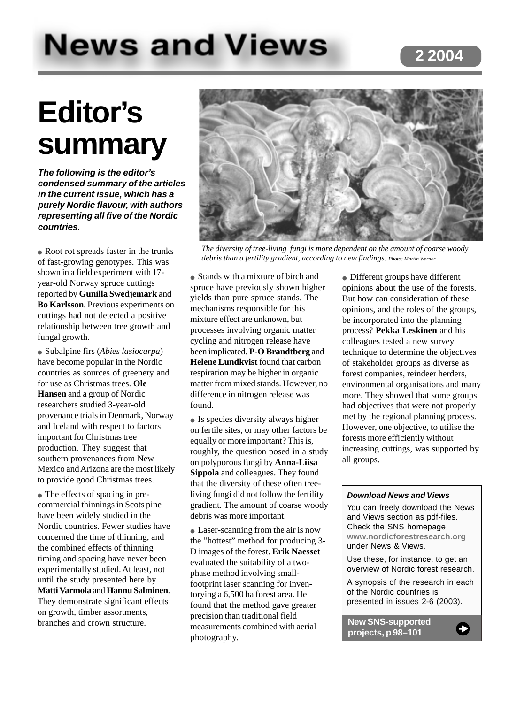# **News and Views**

## **Editor's summary**

**The following is the editor's condensed summary of the articles in the current issue, which has a purely Nordic flavour, with authors representing all five of the Nordic countries.**

• Root rot spreads faster in the trunks of fast-growing genotypes. This was shown in a field experiment with 17 year-old Norway spruce cuttings reported by **Gunilla Swedjemark** and **Bo Karlsson**. Previous experiments on cuttings had not detected a positive relationship between tree growth and fungal growth.

● Subalpine firs (*Abies lasiocarpa*) have become popular in the Nordic countries as sources of greenery and for use as Christmas trees. **Ole Hansen** and a group of Nordic researchers studied 3-year-old provenance trials in Denmark, Norway and Iceland with respect to factors important for Christmas tree production. They suggest that southern provenances from New Mexico and Arizona are the most likely to provide good Christmas trees.

• The effects of spacing in precommercial thinnings in Scots pine have been widely studied in the Nordic countries. Fewer studies have concerned the time of thinning, and the combined effects of thinning timing and spacing have never been experimentally studied. At least, not until the study presented here by **Matti Varmola** and **Hannu Salminen**. They demonstrate significant effects on growth, timber assortments, branches and crown structure.



*The diversity of tree-living fungi is more dependent on the amount of coarse woody debris than a fertility gradient, according to new findings. Photo: Martin Werner*

• Stands with a mixture of birch and spruce have previously shown higher yields than pure spruce stands. The mechanisms responsible for this mixture effect are unknown, but processes involving organic matter cycling and nitrogen release have been implicated. **P-O Brandtberg** and **Helene Lundkvist** found that carbon respiration may be higher in organic matter from mixed stands. However, no difference in nitrogen release was found.

• Is species diversity always higher on fertile sites, or may other factors be equally or more important? This is, roughly, the question posed in a study on polyporous fungi by **Anna-Liisa Sippola** and colleagues. They found that the diversity of these often treeliving fungi did not follow the fertility gradient. The amount of coarse woody debris was more important.

• Laser-scanning from the air is now the "hottest" method for producing 3- D images of the forest. **Erik Naesset** evaluated the suitability of a twophase method involving smallfootprint laser scanning for inventorying a 6,500 ha forest area. He found that the method gave greater precision than traditional field measurements combined with aerial photography.

• Different groups have different opinions about the use of the forests. But how can consideration of these opinions, and the roles of the groups, be incorporated into the planning process? **Pekka Leskinen** and his colleagues tested a new survey technique to determine the objectives of stakeholder groups as diverse as forest companies, reindeer herders, environmental organisations and many more. They showed that some groups had objectives that were not properly met by the regional planning process. However, one objective, to utilise the forests more efficiently without increasing cuttings, was supported by all groups.

#### **Download News and Views**

You can freely download the News and Views section as pdf-files. Check the SNS homepage **www.nordicforestresearch.org** under News & Views.

Use these, for instance, to get an overview of Nordic forest research.

A synopsis of the research in each of the Nordic countries is presented in issues 2-6 (2003).

**New SNS-supported projects, p 98–101**

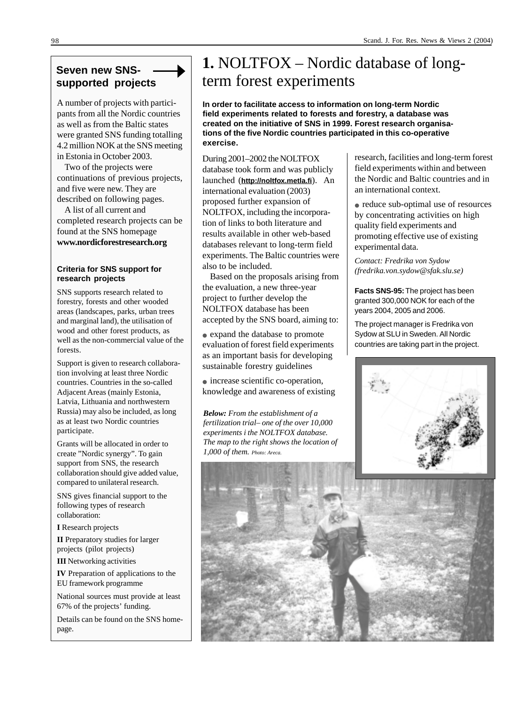### **Seven new SNSsupported projects**

A number of projects with participants from all the Nordic countries as well as from the Baltic states were granted SNS funding totalling 4.2 million NOK at the SNS meeting in Estonia in October 2003.

Two of the projects were continuations of previous projects, and five were new. They are described on following pages.

A list of all current and completed research projects can be found at the SNS homepage **www.nordicforestresearch.org**

#### **Criteria for SNS support for research projects**

SNS supports research related to forestry, forests and other wooded areas (landscapes, parks, urban trees and marginal land), the utilisation of wood and other forest products, as well as the non-commercial value of the forests.

Support is given to research collaboration involving at least three Nordic countries. Countries in the so-called Adjacent Areas (mainly Estonia, Latvia, Lithuania and northwestern Russia) may also be included, as long as at least two Nordic countries participate.

Grants will be allocated in order to create "Nordic synergy". To gain support from SNS, the research collaboration should give added value, compared to unilateral research.

SNS gives financial support to the following types of research collaboration:

**I** Research projects

**II** Preparatory studies for larger projects (pilot projects)

**III** Networking activities

**IV** Preparation of applications to the EU framework programme

National sources must provide at least 67% of the projects' funding.

Details can be found on the SNS homepage.

## **1.** NOLTFOX – Nordic database of longterm forest experiments

**In order to facilitate access to information on long-term Nordic field experiments related to forests and forestry, a database was created on the initiative of SNS in 1999. Forest research organisations of the five Nordic countries participated in this co-operative exercise.**

During 2001–2002 the NOLTFOX database took form and was publicly launched (**http://noltfox.metla.fi**). An international evaluation (2003) proposed further expansion of NOLTFOX, including the incorporation of links to both literature and results available in other web-based databases relevant to long-term field experiments. The Baltic countries were also to be included.

Based on the proposals arising from the evaluation, a new three-year project to further develop the NOLTFOX database has been accepted by the SNS board, aiming to:

● expand the database to promote evaluation of forest field experiments as an important basis for developing sustainable forestry guidelines

● increase scientific co-operation, knowledge and awareness of existing

*Below: From the establishment of a fertilization trial– one of the over 10,000 experiments i the NOLTFOX database. The map to the right shows the location of 1,000 of them. Photo: Areca.*

research, facilities and long-term forest field experiments within and between the Nordic and Baltic countries and in an international context.

• reduce sub-optimal use of resources by concentrating activities on high quality field experiments and promoting effective use of existing experimental data.

*Contact: Fredrika von Sydow (fredrika.von.sydow@sfak.slu.se)*

**Facts SNS-95:** The project has been granted 300,000 NOK for each of the years 2004, 2005 and 2006.

The project manager is Fredrika von Sydow at SLU in Sweden. All Nordic countries are taking part in the project.



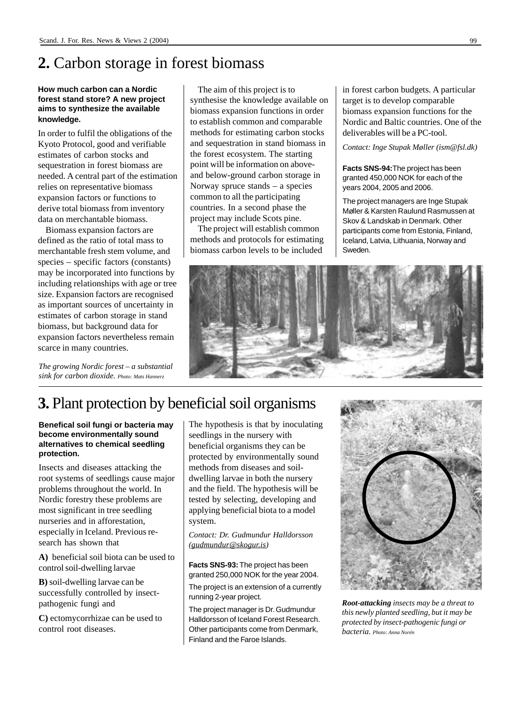## **2.** Carbon storage in forest biomass

#### **How much carbon can a Nordic forest stand store? A new project aims to synthesize the available knowledge.**

In order to fulfil the obligations of the Kyoto Protocol, good and verifiable estimates of carbon stocks and sequestration in forest biomass are needed. A central part of the estimation relies on representative biomass expansion factors or functions to derive total biomass from inventory data on merchantable biomass.

Biomass expansion factors are defined as the ratio of total mass to merchantable fresh stem volume, and species – specific factors (constants) may be incorporated into functions by including relationships with age or tree size. Expansion factors are recognised as important sources of uncertainty in estimates of carbon storage in stand biomass, but background data for expansion factors nevertheless remain scarce in many countries.

*The growing Nordic forest – a substantial sink for carbon dioxide. Photo: Mats Hannerz*

The aim of this project is to synthesise the knowledge available on biomass expansion functions in order to establish common and comparable methods for estimating carbon stocks and sequestration in stand biomass in the forest ecosystem. The starting point will be information on aboveand below-ground carbon storage in Norway spruce stands – a species common to all the participating countries. In a second phase the project may include Scots pine.

The project will establish common methods and protocols for estimating biomass carbon levels to be included

in forest carbon budgets. A particular target is to develop comparable biomass expansion functions for the Nordic and Baltic countries. One of the deliverables will be a PC-tool.

*Contact: Inge Stupak Møller (ism@fsl.dk)*

**Facts SNS-94:**The project has been granted 450,000 NOK for each of the years 2004, 2005 and 2006.

The project managers are Inge Stupak Møller & Karsten Raulund Rasmussen at Skov & Landskab in Denmark. Other participants come from Estonia, Finland, Iceland, Latvia, Lithuania, Norway and Sweden.



## **3.** Plant protection by beneficial soil organisms

#### **Benefical soil fungi or bacteria may become environmentally sound alternatives to chemical seedling protection.**

Insects and diseases attacking the root systems of seedlings cause major problems throughout the world. In Nordic forestry these problems are most significant in tree seedling nurseries and in afforestation, especially in Iceland. Previous research has shown that

**A)** beneficial soil biota can be used to control soil-dwelling larvae

**B)** soil-dwelling larvae can be successfully controlled by insectpathogenic fungi and

**C)** ectomycorrhizae can be used to control root diseases.

The hypothesis is that by inoculating seedlings in the nursery with beneficial organisms they can be protected by environmentally sound methods from diseases and soildwelling larvae in both the nursery and the field. The hypothesis will be tested by selecting, developing and applying beneficial biota to a model system.

*Contact: Dr. Gudmundur Halldorsson (gudmundur@skogur.is)*

**Facts SNS-93:** The project has been granted 250,000 NOK for the year 2004.

The project is an extension of a currently running 2-year project.

The project manager is Dr. Gudmundur Halldorsson of Iceland Forest Research. Other participants come from Denmark, Finland and the Faroe Islands.



*Root-attacking insects may be a threat to this newly planted seedling, but it may be protected by insect-pathogenic fungi or bacteria. Photo: Anna Norén*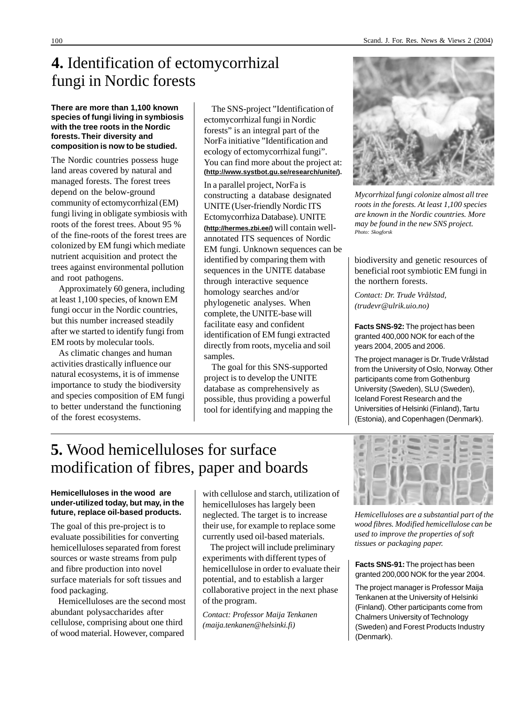## **4.** Identification of ectomycorrhizal fungi in Nordic forests

#### **There are more than 1,100 known species of fungi living in symbiosis with the tree roots in the Nordic forests. Their diversity and composition is now to be studied.**

The Nordic countries possess huge land areas covered by natural and managed forests. The forest trees depend on the below-ground community of ectomycorrhizal (EM) fungi living in obligate symbiosis with roots of the forest trees. About 95 % of the fine-roots of the forest trees are colonized by EM fungi which mediate nutrient acquisition and protect the trees against environmental pollution and root pathogens.

Approximately 60 genera, including at least 1,100 species, of known EM fungi occur in the Nordic countries, but this number increased steadily after we started to identify fungi from EM roots by molecular tools.

As climatic changes and human activities drastically influence our natural ecosystems, it is of immense importance to study the biodiversity and species composition of EM fungi to better understand the functioning of the forest ecosystems.

The SNS-project "Identification of ectomycorrhizal fungi in Nordic forests" is an integral part of the NorFa initiative "Identification and ecology of ectomycorrhizal fungi". You can find more about the project at: **(http://www.systbot.gu.se/research/unite/).**

In a parallel project, NorFa is constructing a database designated UNITE (User-friendly Nordic ITS Ectomycorrhiza Database). UNITE **(http://hermes.zbi.ee/)** will contain wellannotated ITS sequences of Nordic EM fungi. Unknown sequences can be identified by comparing them with sequences in the UNITE database through interactive sequence homology searches and/or phylogenetic analyses. When complete, the UNITE-base will facilitate easy and confident identification of EM fungi extracted directly from roots, mycelia and soil samples.

The goal for this SNS-supported project is to develop the UNITE database as comprehensively as possible, thus providing a powerful tool for identifying and mapping the



*Mycorrhizal fungi colonize almost all tree roots in the forests. At least 1,100 species are known in the Nordic countries. More may be found in the new SNS project. Photo: Skogforsk*

biodiversity and genetic resources of beneficial root symbiotic EM fungi in the northern forests.

*Contact: Dr. Trude Vrålstad, (trudevr@ulrik.uio.no)*

**Facts SNS-92:** The project has been granted 400,000 NOK for each of the years 2004, 2005 and 2006.

The project manager is Dr. Trude Vrålstad from the University of Oslo, Norway. Other participants come from Gothenburg University (Sweden), SLU (Sweden), Iceland Forest Research and the Universities of Helsinki (Finland), Tartu (Estonia), and Copenhagen (Denmark).

## **5.** Wood hemicelluloses for surface modification of fibres, paper and boards

#### **Hemicelluloses in the wood are under-utilized today, but may, in the future, replace oil-based products.**

The goal of this pre-project is to evaluate possibilities for converting hemicelluloses separated from forest sources or waste streams from pulp and fibre production into novel surface materials for soft tissues and food packaging.

Hemicelluloses are the second most abundant polysaccharides after cellulose, comprising about one third of wood material. However, compared

with cellulose and starch, utilization of hemicelluloses has largely been neglected. The target is to increase their use, for example to replace some currently used oil-based materials.

The project will include preliminary experiments with different types of hemicellulose in order to evaluate their potential, and to establish a larger collaborative project in the next phase of the program.

*Contact: Professor Maija Tenkanen (maija.tenkanen@helsinki.fi)*



*Hemicelluloses are a substantial part of the wood fibres. Modified hemicellulose can be used to improve the properties of soft tissues or packaging paper.*

**Facts SNS-91:** The project has been granted 200,000 NOK for the year 2004.

The project manager is Professor Maija Tenkanen at the University of Helsinki (Finland). Other participants come from Chalmers University of Technology (Sweden) and Forest Products Industry (Denmark).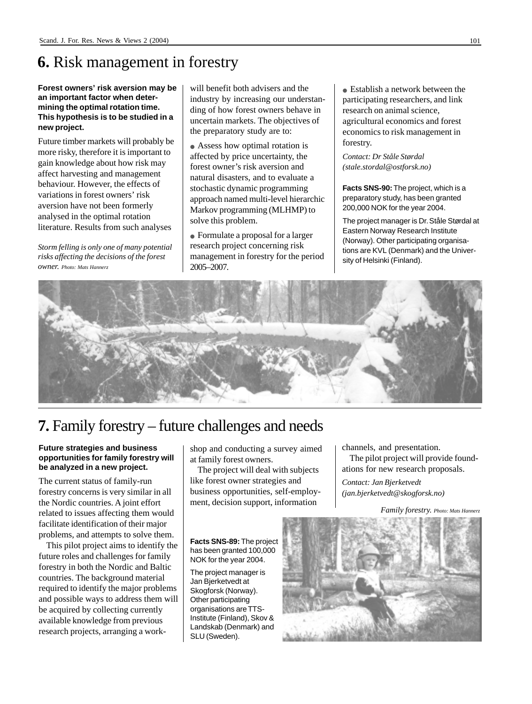## **6.** Risk management in forestry

#### **Forest owners' risk aversion may be an important factor when determining the optimal rotation time. This hypothesis is to be studied in a new project.**

Future timber markets will probably be more risky, therefore it is important to gain knowledge about how risk may affect harvesting and management behaviour. However, the effects of variations in forest owners' risk aversion have not been formerly analysed in the optimal rotation literature. Results from such analyses

*Storm felling is only one of many potential risks affecting the decisions of the forest owner. Photo: Mats Hannerz*

will benefit both advisers and the industry by increasing our understanding of how forest owners behave in uncertain markets. The objectives of the preparatory study are to:

• Assess how optimal rotation is affected by price uncertainty, the forest owner's risk aversion and natural disasters, and to evaluate a stochastic dynamic programming approach named multi-level hierarchic Markov programming (MLHMP) to solve this problem.

● Formulate a proposal for a larger research project concerning risk management in forestry for the period 2005–2007.

• Establish a network between the participating researchers, and link research on animal science, agricultural economics and forest economics to risk management in forestry.

*Contact: Dr Ståle Størdal (stale.stordal@ostforsk.no)*

**Facts SNS-90:** The project, which is a preparatory study, has been granted 200,000 NOK for the year 2004.

The project manager is Dr. Ståle Størdal at Eastern Norway Research Institute (Norway). Other participating organisations are KVL (Denmark) and the University of Helsinki (Finland).



## **7.** Family forestry – future challenges and needs

#### **Future strategies and business opportunities for family forestry will be analyzed in a new project.**

The current status of family-run forestry concerns is very similar in all the Nordic countries. A joint effort related to issues affecting them would facilitate identification of their major problems, and attempts to solve them.

This pilot project aims to identify the future roles and challenges for family forestry in both the Nordic and Baltic countries. The background material required to identify the major problems and possible ways to address them will be acquired by collecting currently available knowledge from previous research projects, arranging a workshop and conducting a survey aimed at family forest owners.

The project will deal with subjects like forest owner strategies and business opportunities, self-employment, decision support, information

**Facts SNS-89:** The project has been granted 100,000 NOK for the year 2004.

The project manager is Jan Bjerketvedt at Skogforsk (Norway). Other participating organisations are TTS-Institute (Finland), Skov & Landskab (Denmark) and SLU (Sweden).

channels, and presentation.

The pilot project will provide foundations for new research proposals.

*Contact: Jan Bjerketvedt (jan.bjerketvedt@skogforsk.no)*

*Family forestry. Photo: Mats Hannerz*